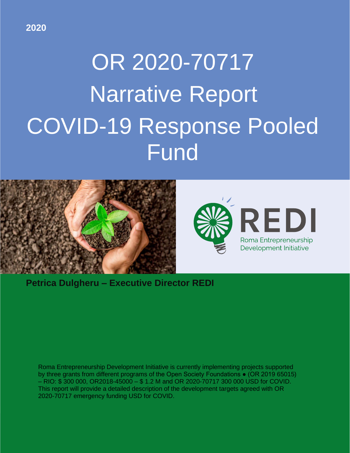# OR 2020-70717 Narrative Report COVID-19 Response Pooled **Fund**



**Petrica Dulgheru – Executive Director REDI**

Roma Entrepreneurship Development Initiative is currently implementing projects supported by three grants from different programs of the Open Society Foundations • (OR 2019 65015) – RIO: \$ 300 000, OR2018-45000 – \$ 1.2 M and OR 2020-70717 300 000 USD for COVID. This report will provide a detailed description of the development targets agreed with OR 2020-70717 emergency funding USD for COVID.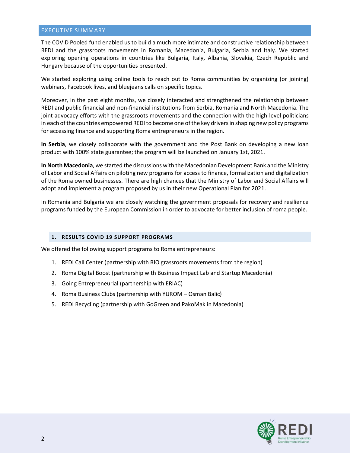#### EXECUTIVE SUMMARY

The COVID Pooled fund enabled us to build a much more intimate and constructive relationship between REDI and the grassroots movements in Romania, Macedonia, Bulgaria, Serbia and Italy. We started exploring opening operations in countries like Bulgaria, Italy, Albania, Slovakia, Czech Republic and Hungary because of the opportunities presented.

We started exploring using online tools to reach out to Roma communities by organizing (or joining) webinars, Facebook lives, and bluejeans calls on specific topics.

Moreover, in the past eight months, we closely interacted and strengthened the relationship between REDI and public financial and non-financial institutions from Serbia, Romania and North Macedonia. The joint advocacy efforts with the grassroots movements and the connection with the high-level politicians in each of the countries empowered REDI to become one of the key drivers in shaping new policy programs for accessing finance and supporting Roma entrepreneurs in the region.

**In Serbia**, we closely collaborate with the government and the Post Bank on developing a new loan product with 100% state guarantee; the program will be launched on January 1st, 2021.

**In North Macedonia**, we started the discussions with the Macedonian Development Bank and the Ministry of Labor and Social Affairs on piloting new programs for access to finance, formalization and digitalization of the Roma owned businesses. There are high chances that the Ministry of Labor and Social Affairs will adopt and implement a program proposed by us in their new Operational Plan for 2021.

In Romania and Bulgaria we are closely watching the government proposals for recovery and resilience programs funded by the European Commission in order to advocate for better inclusion of roma people.

## **1. RESULTS COVID 19 SUPPORT PROGRAMS**

We offered the following support programs to Roma entrepreneurs:

- 1. REDI Call Center (partnership with RIO grassroots movements from the region)
- 2. Roma Digital Boost (partnership with Business Impact Lab and Startup Macedonia)
- 3. Going Entrepreneurial (partnership with ERIAC)
- 4. Roma Business Clubs (partnership with YUROM Osman Balic)
- 5. REDI Recycling (partnership with GoGreen and PakoMak in Macedonia)

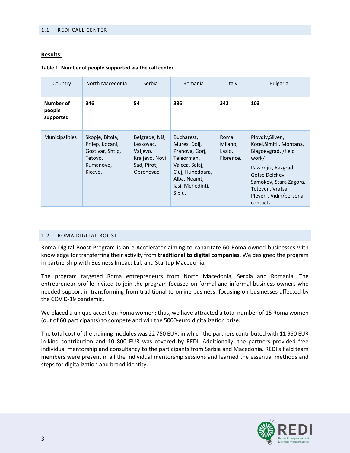#### 1.1 REDI CALL CENTER

#### **Results:**

#### **Table 1: Number of people supported via the call center**

| Country                          | North Macedonia                                                                           | Serbia                                                                                | Romania                                                                                                                                        | <b>Italy</b>                            | <b>Bulgaria</b>                                                                                                                                                                                           |
|----------------------------------|-------------------------------------------------------------------------------------------|---------------------------------------------------------------------------------------|------------------------------------------------------------------------------------------------------------------------------------------------|-----------------------------------------|-----------------------------------------------------------------------------------------------------------------------------------------------------------------------------------------------------------|
| Number of<br>people<br>supported | 346                                                                                       | 54                                                                                    | 386                                                                                                                                            | 342                                     | 103                                                                                                                                                                                                       |
| <b>Municipalities</b>            | Skopje, Bitola,<br>Prilep, Kocani,<br>Gostivar, Shtip,<br>Tetovo,<br>Kumanovo,<br>Kicevo. | Belgrade, Niš,<br>Leskovac,<br>Valjevo,<br>Kraljevo, Novi<br>Sad, Pirot,<br>Obrenovac | Bucharest,<br>Mures, Dolj,<br>Prahova, Gori,<br>Teleorman,<br>Valcea, Salai,<br>Cluj, Hunedoara,<br>Alba, Neamt,<br>lasi, Mehedinti,<br>Sibiu. | Roma,<br>Milano,<br>Lazio,<br>Florence, | Plovdiv, Sliven,<br>Kotel, Simitli, Montana,<br>Blagoevgrad, /field<br>work/<br>Pazardjik, Razgrad,<br>Gotse Delchev,<br>Samokov, Stara Zagora,<br>Teteven, Vratsa,<br>Pleven, Vidin/personal<br>contacts |

#### 1.2 ROMA DIGITAL BOOST

Roma Digital Boost Program is an e-Accelerator aiming to capacitate 60 Roma owned businesses with knowledge for transferring their activity from **traditional to digital companies**. We designed the program in partnership with Business Impact Lab and Startup Macedonia.

The program targeted Roma entrepreneurs from North Macedonia, Serbia and Romania. The entrepreneur profile invited to join the program focused on formal and informal business owners who needed support in transforming from traditional to online business, focusing on businesses affected by the COVID-19 pandemic.

We placed a unique accent on Roma women; thus, we have attracted a total number of 15 Roma women (out of 60 participants) to compete and win the 5000-euro digitalization prize.

The total cost of the training modules was 22 750 EUR, in which the partners contributed with 11 950 EUR in-kind contribution and 10 800 EUR was covered by REDI. Additionally, the partners provided free individual mentorship and consultancy to the participants from Serbia and Macedonia. REDI's field team members were present in all the individual mentorship sessions and learned the essential methods and steps for digitalization and brand identity.

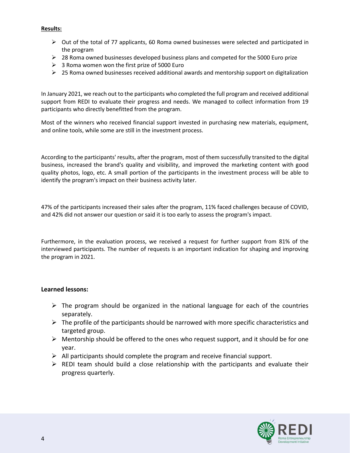## **Results:**

- $\triangleright$  Out of the total of 77 applicants, 60 Roma owned businesses were selected and participated in the program
- $\triangleright$  28 Roma owned businesses developed business plans and competed for the 5000 Euro prize
- $\geq$  3 Roma women won the first prize of 5000 Euro
- $\triangleright$  25 Roma owned businesses received additional awards and mentorship support on digitalization

In January 2021, we reach out to the participants who completed the full program and received additional support from REDI to evaluate their progress and needs. We managed to collect information from 19 participants who directly benefitted from the program.

Most of the winners who received financial support invested in purchasing new materials, equipment, and online tools, while some are still in the investment process.

According to the participants' results, after the program, most of them successfully transited to the digital business, increased the brand's quality and visibility, and improved the marketing content with good quality photos, logo, etc. A small portion of the participants in the investment process will be able to identify the program's impact on their business activity later.

47% of the participants increased their sales after the program, 11% faced challenges because of COVID, and 42% did not answer our question or said it is too early to assess the program's impact.

Furthermore, in the evaluation process, we received a request for further support from 81% of the interviewed participants. The number of requests is an important indication for shaping and improving the program in 2021.

# **Learned lessons:**

- $\triangleright$  The program should be organized in the national language for each of the countries separately.
- $\triangleright$  The profile of the participants should be narrowed with more specific characteristics and targeted group.
- $\triangleright$  Mentorship should be offered to the ones who request support, and it should be for one year.
- $\triangleright$  All participants should complete the program and receive financial support.
- $\triangleright$  REDI team should build a close relationship with the participants and evaluate their progress quarterly.

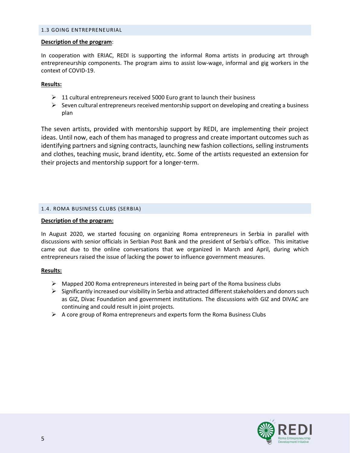#### 1.3 GOING ENTREPRENEURIAL

#### **Description of the program**:

In cooperation with ERIAC, REDI is supporting the informal Roma artists in producing art through entrepreneurship components. The program aims to assist low-wage, informal and gig workers in the context of COVID-19.

## **Results:**

- $\geq 11$  cultural entrepreneurs received 5000 Euro grant to launch their business
- $\triangleright$  Seven cultural entrepreneurs received mentorship support on developing and creating a business plan

The seven artists, provided with mentorship support by REDI, are implementing their project ideas. Until now, each of them has managed to progress and create important outcomes such as identifying partners and signing contracts, launching new fashion collections, selling instruments and clothes, teaching music, brand identity, etc. Some of the artists requested an extension for their projects and mentorship support for a longer-term.

## 1.4. ROMA BUSINESS CLUBS (SERBIA)

## **Description of the program:**

In August 2020, we started focusing on organizing Roma entrepreneurs in Serbia in parallel with discussions with senior officials in Serbian Post Bank and the president of Serbia's office. This imitative came out due to the online conversations that we organized in March and April, during which entrepreneurs raised the issue of lacking the power to influence government measures.

## **Results:**

- $\triangleright$  Mapped 200 Roma entrepreneurs interested in being part of the Roma business clubs
- $\triangleright$  Significantly increased our visibility in Serbia and attracted different stakeholders and donors such as GIZ, Divac Foundation and government institutions. The discussions with GIZ and DIVAC are continuing and could result in joint projects.
- $\triangleright$  A core group of Roma entrepreneurs and experts form the Roma Business Clubs

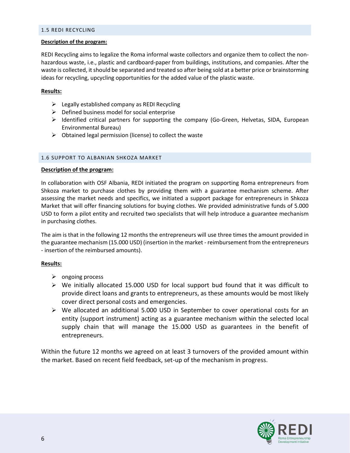#### 1.5 REDI RECYCLING

#### **Description of the program:**

REDI Recycling aims to legalize the Roma informal waste collectors and organize them to collect the nonhazardous waste, i.e., plastic and cardboard-paper from buildings, institutions, and companies. After the waste is collected, it should be separated and treated so after being sold at a better price or brainstorming ideas for recycling, upcycling opportunities for the added value of the plastic waste.

## **Results:**

- $\triangleright$  Legally established company as REDI Recycling
- $\triangleright$  Defined business model for social enterprise
- ➢ Identified critical partners for supporting the company (Go-Green, Helvetas, SIDA, European Environmental Bureau)
- $\triangleright$  Obtained legal permission (license) to collect the waste

## 1.6 SUPPORT TO ALBANIAN SHKOZA MARKET

#### **Description of the program:**

In collaboration with OSF Albania, REDI initiated the program on supporting Roma entrepreneurs from Shkoza market to purchase clothes by providing them with a guarantee mechanism scheme. After assessing the market needs and specifics, we initiated a support package for entrepreneurs in Shkoza Market that will offer financing solutions for buying clothes. We provided administrative funds of 5.000 USD to form a pilot entity and recruited two specialists that will help introduce a guarantee mechanism in purchasing clothes.

The aim is that in the following 12 months the entrepreneurs will use three times the amount provided in the guarantee mechanism (15.000 USD) (insertion in the market - reimbursement from the entrepreneurs - insertion of the reimbursed amounts).

## **Results:**

- ➢ ongoing process
- $\triangleright$  We initially allocated 15.000 USD for local support bud found that it was difficult to provide direct loans and grants to entrepreneurs, as these amounts would be most likely cover direct personal costs and emergencies.
- $\triangleright$  We allocated an additional 5.000 USD in September to cover operational costs for an entity (support instrument) acting as a guarantee mechanism within the selected local supply chain that will manage the 15.000 USD as guarantees in the benefit of entrepreneurs.

Within the future 12 months we agreed on at least 3 turnovers of the provided amount within the market. Based on recent field feedback, set-up of the mechanism in progress.

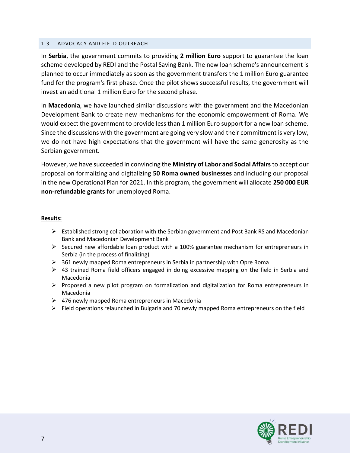## 1.3 ADVOCACY AND FIELD OUTREACH

In **Serbia**, the government commits to providing **2 million Euro** support to guarantee the loan scheme developed by REDI and the Postal Saving Bank. The new loan scheme's announcement is planned to occur immediately as soon as the government transfers the 1 million Euro guarantee fund for the program's first phase. Once the pilot shows successful results, the government will invest an additional 1 million Euro for the second phase.

In **Macedonia**, we have launched similar discussions with the government and the Macedonian Development Bank to create new mechanisms for the economic empowerment of Roma. We would expect the government to provide less than 1 million Euro support for a new loan scheme. Since the discussions with the government are going very slow and their commitment is very low, we do not have high expectations that the government will have the same generosity as the Serbian government.

However, we have succeeded in convincing the **Ministry of Labor and Social Affairs** to accept our proposal on formalizing and digitalizing **50 Roma owned businesses** and including our proposal in the new Operational Plan for 2021. In this program, the government will allocate **250 000 EUR non-refundable grants** for unemployed Roma.

## **Results:**

- ➢ Established strong collaboration with the Serbian government and Post Bank RS and Macedonian Bank and Macedonian Development Bank
- $\triangleright$  Secured new affordable loan product with a 100% guarantee mechanism for entrepreneurs in Serbia (in the process of finalizing)
- $\triangleright$  361 newly mapped Roma entrepreneurs in Serbia in partnership with Opre Roma
- $\triangleright$  43 trained Roma field officers engaged in doing excessive mapping on the field in Serbia and Macedonia
- $\triangleright$  Proposed a new pilot program on formalization and digitalization for Roma entrepreneurs in Macedonia
- $\geq$  476 newly mapped Roma entrepreneurs in Macedonia
- ➢ Field operations relaunched in Bulgaria and 70 newly mapped Roma entrepreneurs on the field

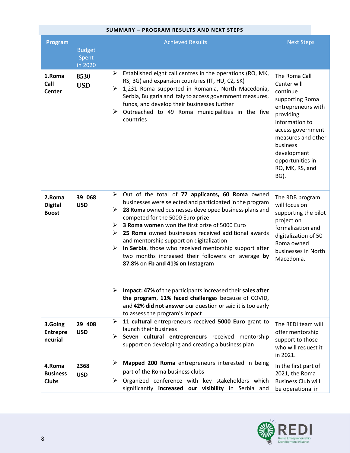| <b>SUMMARY - PROGRAM RESULTS AND NEXT STEPS</b> |                                   |                                                                                                                                                                                                                                                                                                                                                                                                                                                                                                                                                                                                                                                                                                                              |                                                                                                                                                                                                                                       |  |
|-------------------------------------------------|-----------------------------------|------------------------------------------------------------------------------------------------------------------------------------------------------------------------------------------------------------------------------------------------------------------------------------------------------------------------------------------------------------------------------------------------------------------------------------------------------------------------------------------------------------------------------------------------------------------------------------------------------------------------------------------------------------------------------------------------------------------------------|---------------------------------------------------------------------------------------------------------------------------------------------------------------------------------------------------------------------------------------|--|
| Program                                         | <b>Budget</b><br>Spent<br>in 2020 | <b>Achieved Results</b>                                                                                                                                                                                                                                                                                                                                                                                                                                                                                                                                                                                                                                                                                                      | <b>Next Steps</b>                                                                                                                                                                                                                     |  |
| 1.Roma<br>Call<br><b>Center</b>                 | 8530<br><b>USD</b>                | $\triangleright$ Established eight call centres in the operations (RO, MK,<br>RS, BG) and expansion countries (IT, HU, CZ, SK)<br>$\triangleright$ 1,231 Roma supported in Romania, North Macedonia,<br>Serbia, Bulgaria and Italy to access government measures,<br>funds, and develop their businesses further<br>$\triangleright$ Outreached to 49 Roma municipalities in the five<br>countries                                                                                                                                                                                                                                                                                                                           | The Roma Call<br>Center will<br>continue<br>supporting Roma<br>entrepreneurs with<br>providing<br>information to<br>access government<br>measures and other<br>business<br>development<br>opportunities in<br>RO, MK, RS, and<br>BG). |  |
| 2.Roma<br><b>Digital</b><br><b>Boost</b>        | 39 068<br><b>USD</b>              | $\triangleright$ Out of the total of 77 applicants, 60 Roma owned<br>businesses were selected and participated in the program<br>$\triangleright$ 28 Roma owned businesses developed business plans and<br>competed for the 5000 Euro prize<br>$\triangleright$ 3 Roma women won the first prize of 5000 Euro<br>$\triangleright$ 25 Roma owned businesses received additional awards<br>and mentorship support on digitalization<br>$\triangleright$ In Serbia, those who received mentorship support after<br>two months increased their followers on average by<br>87.8% on Fb and 41% on Instagram<br>Impact: 47% of the participants increased their sales after<br>the program, 11% faced challenges because of COVID, | The RDB program<br>will focus on<br>supporting the pilot<br>project on<br>formalization and<br>digitalization of 50<br>Roma owned<br>businesses in North<br>Macedonia.                                                                |  |
|                                                 |                                   | and 42% did not answer our question or said it is too early<br>to assess the program's impact<br>11 cultural entrepreneurs received 5000 Euro grant to<br>➤                                                                                                                                                                                                                                                                                                                                                                                                                                                                                                                                                                  |                                                                                                                                                                                                                                       |  |
| 3.Going<br><b>Entrepre</b><br>neurial           | 29 408<br><b>USD</b>              | launch their business<br>$\triangleright$ Seven cultural entrepreneurs received mentorship<br>support on developing and creating a business plan                                                                                                                                                                                                                                                                                                                                                                                                                                                                                                                                                                             | The REDI team will<br>offer mentorship<br>support to those<br>who will request it<br>in 2021.                                                                                                                                         |  |
| 4.Roma<br><b>Business</b><br><b>Clubs</b>       | 2368<br><b>USD</b>                | Mapped 200 Roma entrepreneurs interested in being<br>➤<br>part of the Roma business clubs<br>$\triangleright$ Organized conference with key stakeholders which<br>significantly increased our visibility in Serbia and                                                                                                                                                                                                                                                                                                                                                                                                                                                                                                       | In the first part of<br>2021, the Roma<br><b>Business Club will</b><br>be operational in                                                                                                                                              |  |

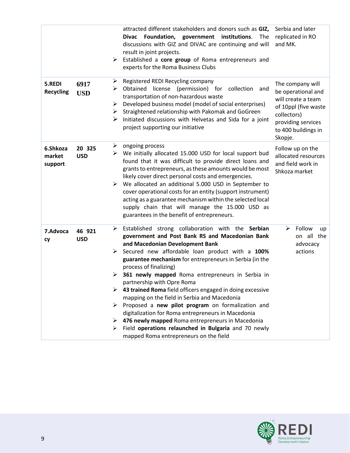|                               |                      | attracted different stakeholders and donors such as GIZ,<br>Foundation, government institutions.<br>The<br><b>Divac</b><br>discussions with GIZ and DIVAC are continuing and will<br>result in joint projects.<br>Established a core group of Roma entrepreneurs and<br>➤<br>experts for the Roma Business Clubs                                                                                                                                                                                                                                                                                                                                                                                                                                                                              | Serbia and later<br>replicated in RO<br>and MK.                                                                                                             |
|-------------------------------|----------------------|-----------------------------------------------------------------------------------------------------------------------------------------------------------------------------------------------------------------------------------------------------------------------------------------------------------------------------------------------------------------------------------------------------------------------------------------------------------------------------------------------------------------------------------------------------------------------------------------------------------------------------------------------------------------------------------------------------------------------------------------------------------------------------------------------|-------------------------------------------------------------------------------------------------------------------------------------------------------------|
| 5.REDI<br><b>Recycling</b>    | 6917<br><b>USD</b>   | Registered REDI Recycling company<br>➤<br>Obtained license (permission) for collection<br>➤<br>and<br>transportation of non-hazardous waste<br>Developed business model (model of social enterprises)<br>➤<br>Straightened relationship with Pakomak and GoGreen<br>➤<br>Initiated discussions with Helvetas and Sida for a joint<br>➤<br>project supporting our initiative                                                                                                                                                                                                                                                                                                                                                                                                                   | The company will<br>be operational and<br>will create a team<br>of 10ppl (five waste<br>collectors)<br>providing services<br>to 400 buildings in<br>Skopje. |
| 6.Shkoza<br>market<br>support | 20 325<br><b>USD</b> | ongoing process<br>➤<br>We initially allocated 15.000 USD for local support bud<br>➤<br>found that it was difficult to provide direct loans and<br>grants to entrepreneurs, as these amounts would be most<br>likely cover direct personal costs and emergencies.<br>We allocated an additional 5.000 USD in September to<br>➤<br>cover operational costs for an entity (support instrument)<br>acting as a guarantee mechanism within the selected local<br>supply chain that will manage the 15.000 USD as<br>guarantees in the benefit of entrepreneurs.                                                                                                                                                                                                                                   | Follow up on the<br>allocated resources<br>and field work in<br>Shkoza market                                                                               |
| 7.Advoca<br>cy                | 46 921<br><b>USD</b> | Established strong collaboration with the Serbian<br>➤<br>government and Post Bank RS and Macedonian Bank<br>and Macedonian Development Bank<br>Secured new affordable loan product with a 100%<br>➤<br>guarantee mechanism for entrepreneurs in Serbia (in the<br>process of finalizing)<br>$\geq$ 361 newly mapped Roma entrepreneurs in Serbia in<br>partnership with Opre Roma<br>$\triangleright$ 43 trained Roma field officers engaged in doing excessive<br>mapping on the field in Serbia and Macedonia<br>> Proposed a new pilot program on formalization and<br>digitalization for Roma entrepreneurs in Macedonia<br>476 newly mapped Roma entrepreneurs in Macedonia<br>➤<br>Field operations relaunched in Bulgaria and 70 newly<br>➤<br>mapped Roma entrepreneurs on the field | Follow<br>➤<br>up<br>on all the<br>advocacy<br>actions                                                                                                      |